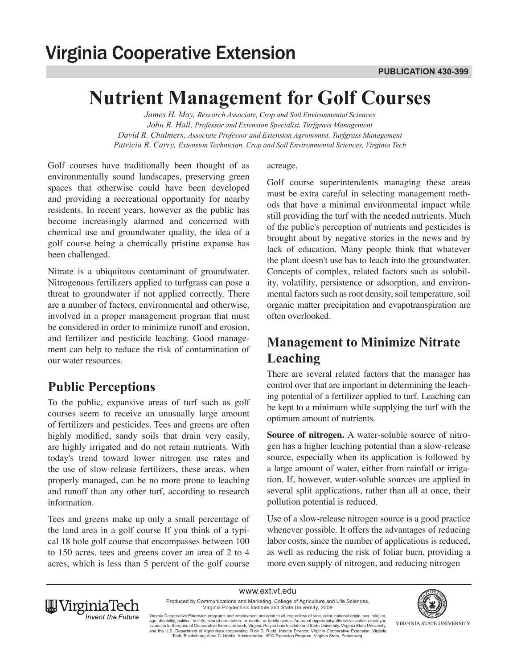# **Nutrient Management for Golf Courses**

*James H. May, Research Associate, Crop and Soil Environmental Sciences John R. Hall, Professor and Extension Specialist, Turfgrass Management David R. Chalmers, Associate Professor and Extension Agronomist, Turfgrass Management Patricia R. Carry, Extension Technician, Crop and Soil Environmental Sciences, Virginia Tech*

Golf courses have traditionally been thought of as environmentally sound landscapes, preserving green spaces that otherwise could have been developed and providing a recreational opportunity for nearby residents. In recent years, however as the public has become increasingly alarmed and concerned with chemical use and groundwater quality, the idea of a golf course being a chemically pristine expanse has been challenged.

Nitrate is a ubiquitous contaminant of groundwater. Nitrogenous fertilizers applied to turfgrass can pose a threat to groundwater if not applied correctly. There are a number of factors, environmental and otherwise, involved in a proper management program that must be considered in order to minimize runoff and erosion, and fertilizer and pesticide leaching. Good management can help to reduce the risk of contamination of our water resources.

#### **Public Perceptions**

To the public, expansive areas of turf such as golf courses seem to receive an unusually large amount of fertilizers and pesticides. Tees and greens are often highly modified, sandy soils that drain very easily, are highly irrigated and do not retain nutrients. With today's trend toward lower nitrogen use rates and the use of slow-release fertilizers, these areas, when properly managed, can be no more prone to leaching and runoff than any other turf, according to research information.

Tees and greens make up only a small percentage of the land area in a golf course If you think of a typical 18 hole golf course that encompasses between 100 to 150 acres, tees and greens cover an area of 2 to 4 acres, which is less than 5 percent of the golf course

#### acreage.

Golf course superintendents managing these areas must be extra careful in selecting management methods that have a minimal environmental impact while still providing the turf with the needed nutrients. Much of the public's perception of nutrients and pesticides is brought about by negative stories in the news and by lack of education. Many people think that whatever the plant doesn't use has to leach into the groundwater. Concepts of complex, related factors such as solubility, volatility, persistence or adsorption, and environmental factors such as root density, soil temperature, soil organic matter precipitation and evapotranspiration are often overlooked.

# **Management to Minimize Nitrate Leaching**

There are several related factors that the manager has control over that are important in determining the leaching potential of a fertilizer applied to turf. Leaching can be kept to a minimum while supplying the turf with the optimum amount of nutrients.

**Source of nitrogen.** A water-soluble source of nitrogen has a higher leaching potential than a slow-release source, especially when its application is followed by a large amount of water, either from rainfall or irrigation. If, however, water-soluble sources are applied in several split applications, rather than all at once, their pollution potential is reduced.

Use of a slow-release nitrogen source is a good practice whenever possible. It offers the advantages of reducing labor costs, since the number of applications is reduced, as well as reducing the risk of foliar burn, providing a more even supply of nitrogen, and reducing nitrogen

www.ext.vt.edu Produced by Communications and Marketing, College of Agriculture and Life Sciences, Virginia Polytechnic Institute and State University, 2009





Virginia Cooperative Extension programs and employment are open to all, regardless of race, color, national origin, sex, religion,<br>age, disability, political beliefs, sexual orientation, or marital or family status. An equ and the U.S. Department of Agriculture cooperating. RIck D. Rudd, Interim Director, Virginia Cooperative Extension, Virginia<br>Tech, Blacksburg; Alma C. Hobbs, Administrator, 1890 Extension Program, Virginia State, Petersbur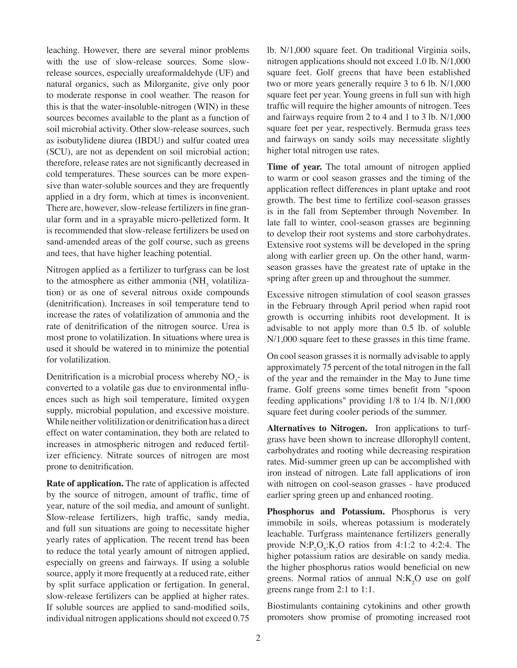leaching. However, there are several minor problems with the use of slow-release sources. Some slowrelease sources, especially ureaformaldehyde (UF) and natural organics, such as Milorganite, give only poor to moderate response in cool weather. The reason for this is that the water-insoluble-nitrogen (WIN) in these sources becomes available to the plant as a function of soil microbial activity. Other slow-release sources, such as isobutylidene diurea (IBDU) and sulfur coated urea (SCU), are not as dependent on soil microbial action; therefore, release rates are not significantly decreased in cold temperatures. These sources can be more expensive than water-soluble sources and they are frequently applied in a dry form, which at times is inconvenient. There are, however, slow-release fertilizers in fine granular form and in a sprayable micro-pelletized form. It is recommended that slow-release fertilizers be used on sand-amended areas of the golf course, such as greens and tees, that have higher leaching potential.

Nitrogen applied as a fertilizer to turfgrass can be lost to the atmosphere as either ammonia  $(NH<sub>3</sub>$  volatilization) or as one of several nitrous oxide compounds (denitrification). Increases in soil temperature tend to increase the rates of volatilization of ammonia and the rate of denitrification of the nitrogen source. Urea is most prone to volatilization. In situations where urea is used it should be watered in to minimize the potential for volatilization.

Denitrification is a microbial process whereby  $NO<sub>3</sub>$ - is converted to a volatile gas due to environmental influences such as high soil temperature, limited oxygen supply, microbial population, and excessive moisture. While neither volitilization or denitrification has a direct effect on water contamination, they both are related to increases in atmospheric nitrogen and reduced fertilizer efficiency. Nitrate sources of nitrogen are most prone to denitrification.

**Rate of application.** The rate of application is affected by the source of nitrogen, amount of traffic, time of year, nature of the soil media, and amount of sunlight. Slow-release fertilizers, high traffic, sandy media, and full sun situations are going to necessitate higher yearly rates of application. The recent trend has been to reduce the total yearly amount of nitrogen applied, especially on greens and fairways. If using a soluble source, apply it more frequently at a reduced rate, either by split surface application or fertigation. In general, slow-release fertilizers can be applied at higher rates. If soluble sources are applied to sand-modified soils, individual nitrogen applications should not exceed 0.75

lb. N/1,000 square feet. On traditional Virginia soils, nitrogen applications should not exceed 1.0 lb. N/1,000 square feet. Golf greens that have been established two or more years generally require 3 to 6 lb. N/1,000 square feet per year. Young greens in full sun with high traffic will require the higher amounts of nitrogen. Tees and fairways require from 2 to 4 and 1 to 3 lb. N/1,000 square feet per year, respectively. Bermuda grass tees and fairways on sandy soils may necessitate slightly higher total nitrogen use rates.

**Time of year.** The total amount of nitrogen applied to warm or cool season grasses and the timing of the application reflect differences in plant uptake and root growth. The best time to fertilize cool-season grasses is in the fall from September through November. In late fall to winter, cool-season grasses are beginning to develop their root systems and store carbohydrates. Extensive root systems will be developed in the spring along with earlier green up. On the other hand, warmseason grasses have the greatest rate of uptake in the spring after green up and throughout the summer.

Excessive nitrogen stimulation of cool season grasses in the February through April period when rapid root growth is occurring inhibits root development. It is advisable to not apply more than 0.5 lb. of soluble N/1,000 square feet to these grasses in this time frame.

On cool season grasses it is normally advisable to apply approximately 75 percent of the total nitrogen in the fall of the year and the remainder in the May to June time frame. Golf greens some times benefit from "spoon feeding applications" providing 1/8 to 1/4 lb. N/1,000 square feet during cooler periods of the summer.

**Alternatives to Nitrogen.** Iron applications to turfgrass have been shown to increase dllorophyll content, carbohydrates and rooting while decreasing respiration rates. Mid-summer green up can be accomplished with iron instead of nitrogen. Late fall applications of iron with nitrogen on cool-season grasses - have produced earlier spring green up and enhanced rooting.

**Phosphorus and Potassium.** Phosphorus is very immobile in soils, whereas potassium is moderately leachable. Turfgrass maintenance fertilizers generally provide  $N: P_2O_5: K_2O$  ratios from 4:1:2 to 4:2:4. The higher potassium ratios are desirable on sandy media. the higher phosphorus ratios would beneficial on new greens. Normal ratios of annual  $N:K_2O$  use on golf greens range from 2:1 to 1:1.

Biostimulants containing cytokinins and other growth promoters show promise of promoting increased root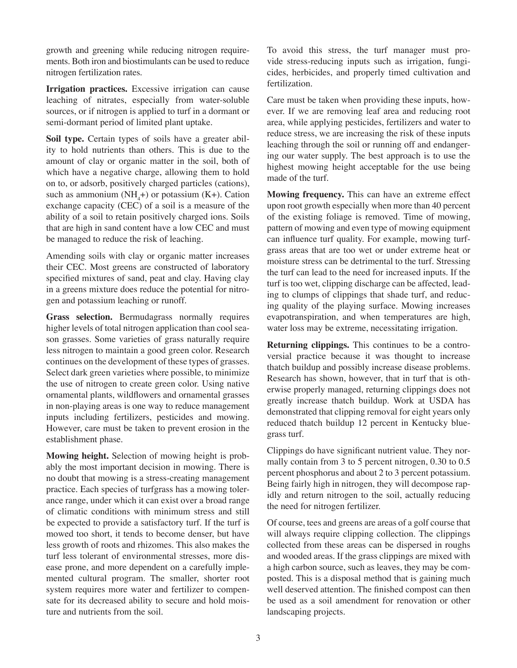growth and greening while reducing nitrogen requirements. Both iron and biostimulants can be used to reduce nitrogen fertilization rates.

**Irrigation practices.** Excessive irrigation can cause leaching of nitrates, especially from water-soluble sources, or if nitrogen is applied to turf in a dormant or semi-dormant period of limited plant uptake.

**Soil type.** Certain types of soils have a greater ability to hold nutrients than others. This is due to the amount of clay or organic matter in the soil, both of which have a negative charge, allowing them to hold on to, or adsorb, positively charged particles (cations), such as ammonium  $(NH_4+)$  or potassium  $(K+)$ . Cation exchange capacity (CEC) of a soil is a measure of the ability of a soil to retain positively charged ions. Soils that are high in sand content have a low CEC and must be managed to reduce the risk of leaching.

Amending soils with clay or organic matter increases their CEC. Most greens are constructed of laboratory specified mixtures of sand, peat and clay. Having clay in a greens mixture does reduce the potential for nitrogen and potassium leaching or runoff.

**Grass selection.** Bermudagrass normally requires higher levels of total nitrogen application than cool season grasses. Some varieties of grass naturally require less nitrogen to maintain a good green color. Research continues on the development of these types of grasses. Select dark green varieties where possible, to minimize the use of nitrogen to create green color. Using native ornamental plants, wildflowers and ornamental grasses in non-playing areas is one way to reduce management inputs including fertilizers, pesticides and mowing. However, care must be taken to prevent erosion in the establishment phase.

**Mowing height.** Selection of mowing height is probably the most important decision in mowing. There is no doubt that mowing is a stress-creating management practice. Each species of turfgrass has a mowing tolerance range, under which it can exist over a broad range of climatic conditions with minimum stress and still be expected to provide a satisfactory turf. If the turf is mowed too short, it tends to become denser, but have less growth of roots and rhizomes. This also makes the turf less tolerant of environmental stresses, more disease prone, and more dependent on a carefully implemented cultural program. The smaller, shorter root system requires more water and fertilizer to compensate for its decreased ability to secure and hold moisture and nutrients from the soil.

To avoid this stress, the turf manager must provide stress-reducing inputs such as irrigation, fungicides, herbicides, and properly timed cultivation and fertilization.

Care must be taken when providing these inputs, however. If we are removing leaf area and reducing root area, while applying pesticides, fertilizers and water to reduce stress, we are increasing the risk of these inputs leaching through the soil or running off and endangering our water supply. The best approach is to use the highest mowing height acceptable for the use being made of the turf.

**Mowing frequency.** This can have an extreme effect upon root growth especially when more than 40 percent of the existing foliage is removed. Time of mowing, pattern of mowing and even type of mowing equipment can influence turf quality. For example, mowing turfgrass areas that are too wet or under extreme heat or moisture stress can be detrimental to the turf. Stressing the turf can lead to the need for increased inputs. If the turf is too wet, clipping discharge can be affected, leading to clumps of clippings that shade turf, and reducing quality of the playing surface. Mowing increases evapotranspiration, and when temperatures are high, water loss may be extreme, necessitating irrigation.

**Returning clippings.** This continues to be a controversial practice because it was thought to increase thatch buildup and possibly increase disease problems. Research has shown, however, that in turf that is otherwise properly managed, returning clippings does not greatly increase thatch buildup. Work at USDA has demonstrated that clipping removal for eight years only reduced thatch buildup 12 percent in Kentucky bluegrass turf.

Clippings do have significant nutrient value. They normally contain from 3 to 5 percent nitrogen, 0.30 to 0.5 percent phosphorus and about 2 to 3 percent potassium. Being fairly high in nitrogen, they will decompose rapidly and return nitrogen to the soil, actually reducing the need for nitrogen fertilizer.

Of course, tees and greens are areas of a golf course that will always require clipping collection. The clippings collected from these areas can be dispersed in roughs and wooded areas. If the grass clippings are mixed with a high carbon source, such as leaves, they may be composted. This is a disposal method that is gaining much well deserved attention. The finished compost can then be used as a soil amendment for renovation or other landscaping projects.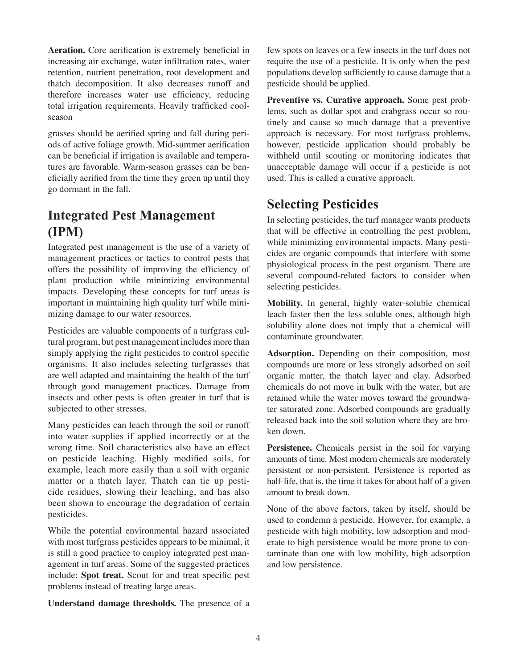**Aeration.** Core aerification is extremely beneficial in increasing air exchange, water infiltration rates, water retention, nutrient penetration, root development and thatch decomposition. It also decreases runoff and therefore increases water use efficiency, reducing total irrigation requirements. Heavily trafficked coolseason

grasses should be aerified spring and fall during periods of active foliage growth. Mid-summer aerification can be beneficial if irrigation is available and temperatures are favorable. Warm-season grasses can be beneficially aerified from the time they green up until they go dormant in the fall.

#### **Integrated Pest Management (IPM)**

Integrated pest management is the use of a variety of management practices or tactics to control pests that offers the possibility of improving the efficiency of plant production while minimizing environmental impacts. Developing these concepts for turf areas is important in maintaining high quality turf while minimizing damage to our water resources.

Pesticides are valuable components of a turfgrass cultural program, but pest management includes more than simply applying the right pesticides to control specific organisms. It also includes selecting turfgrasses that are well adapted and maintaining the health of the turf through good management practices. Damage from insects and other pests is often greater in turf that is subjected to other stresses.

Many pesticides can leach through the soil or runoff into water supplies if applied incorrectly or at the wrong time. Soil characteristics also have an effect on pesticide leaching. Highly modified soils, for example, leach more easily than a soil with organic matter or a thatch layer. Thatch can tie up pesticide residues, slowing their leaching, and has also been shown to encourage the degradation of certain pesticides.

While the potential environmental hazard associated with most turfgrass pesticides appears to be minimal, it is still a good practice to employ integrated pest management in turf areas. Some of the suggested practices include: **Spot treat.** Scout for and treat specific pest problems instead of treating large areas.

**Understand damage thresholds.** The presence of a

few spots on leaves or a few insects in the turf does not require the use of a pesticide. It is only when the pest populations develop sufficiently to cause damage that a pesticide should be applied.

**Preventive vs. Curative approach.** Some pest problems, such as dollar spot and crabgrass occur so routinely and cause so much damage that a preventive approach is necessary. For most turfgrass problems, however, pesticide application should probably be withheld until scouting or monitoring indicates that unacceptable damage will occur if a pesticide is not used. This is called a curative approach.

#### **Selecting Pesticides**

In selecting pesticides, the turf manager wants products that will be effective in controlling the pest problem, while minimizing environmental impacts. Many pesticides are organic compounds that interfere with some physiological process in the pest organism. There are several compound-related factors to consider when selecting pesticides.

**Mobility.** In general, highly water-soluble chemical leach faster then the less soluble ones, although high solubility alone does not imply that a chemical will contaminate groundwater.

**Adsorption.** Depending on their composition, most compounds are more or less strongly adsorbed on soil organic matter, the thatch layer and clay. Adsorbed chemicals do not move in bulk with the water, but are retained while the water moves toward the groundwater saturated zone. Adsorbed compounds are gradually released back into the soil solution where they are broken down.

**Persistence.** Chemicals persist in the soil for varying amounts of time. Most modern chemicals are moderately persistent or non-persistent. Persistence is reported as half-life, that is, the time it takes for about half of a given amount to break down.

None of the above factors, taken by itself, should be used to condemn a pesticide. However, for example, a pesticide with high mobility, low adsorption and moderate to high persistence would be more prone to contaminate than one with low mobility, high adsorption and low persistence.